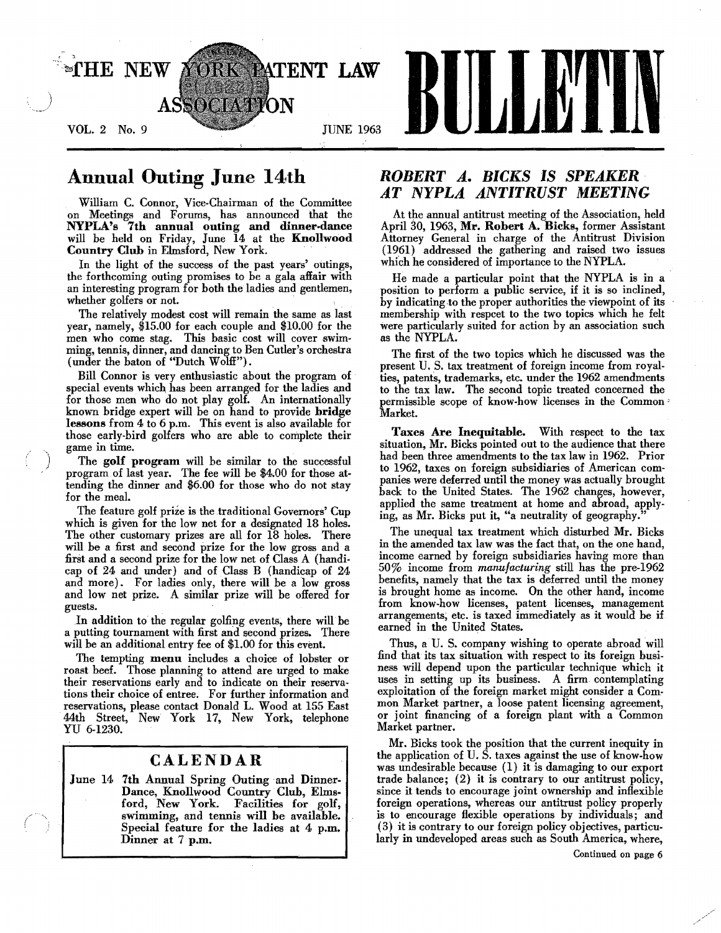

# Annual Outing June 14th

William C. Connor, Vice-Chairman of the Committee on Meetings and Forums, has announced that the NYPLA's 7th annual outing and dinner-dance will be held on Friday, June 14 at the Knollwood Country Club in Elmsford, New York.

In the light of the success of the past years' outings, the forthcoming outing promises to *be* a gala affair with an interesting program for both the ladies and gentlemen, whether golfers or not.

The relatively modest cost will remain the same as last year, namely, \$15.00 for each couple and \$10.00 for the *men* who come stag. This basic cost will cover swimming, tennis, dinner, and dancing to Ben Cutler's orchestra (under the baton of "Dutch Wolff").

Bill Connor is very enthusiastic about the program of special events which, has been arranged for the ladies and for those men who do not play golf. An internationally known bridge expert will be on hand to provide bridge lessons from 4 to 6 p.m. This event is also available for those early.bird golfers who are able to complete their game in time.

The golf program will be similar to the successful program of last year. The fee will be \$4.00 for those attending the dinner and \$6.00 for those who do not stay for the meal.

The feature golf prize is the traditional Governors' Cup which is given for the low net for a designated 18 holes. The other customary prizes are all for 18 holes. There will be a first and second prize for the low gross and a first and a second prize for the low net of Class A (handicap of 24 and under) and of. Class B (handicap of 24 and more). For ladies only, there will be a low gross and low net prize. A similar prize will be offered for guests.

.In addition to the regular golfing events, there will be a putting tournament with first and second prizes. There will be an additional entry fee of \$1.00 for this event.

The tempting menu includes a choice of lobster or roast heef. Those planning to attend are urged to make their reservations early and to indicate on their reserva· tions their choice of entree. For further information and reservations, please contact Donald L. Wood at 155 East 44th Street, New York 17, New York, telephone YU 6-1230.

### CALENDAR

June 14 7th Annual Spring Outing and Dinner-Dance, Knollwood Country Club, Elms· ford, New York. Facilities for golf, swimming, and tennis will be available. Special feature for the ladies at 4 p.m. Dinner at 7 p.m.

## *ROBERT A. BICKS* IS *SPEAKER· AT NYPLA ANTITRUST MEETING*

At the annual antitrust meeting of the Association, held April 30, 1963, Mr. Robert A. Dicks, former Assistant Attorney General in charge of the Antitrust Division (1961) addressed the gathering and raised two issues which he considered of importance to the NYPLA.

He made a particular point that the NYPLA is in a position to perform a public service, if it is so inclined, by indicating to the proper authorities the viewpoint of its membership with respcet to the two topics which he felt were particularly suited for action by an association such as the NYPLA.

The first of the two topics which he discussed was the present U. S. tax treatment of foreign income from royalties, patents, trademarks, etc. under the 1962 amendments to the tax law. The second topic treated concerned the permissible scope of know-how licenses in the Common Market.

Taxes Are Inequitable. With respect to the tax situation, Mr. Bicks pointed out to the audience that there had been three amendments to the tax law in 1962. Prior to 1962, taxes on foreign subsidiaries of American com· panies were deferred until the money was actually brought back to the United States. The 1962 changes, however, applied the same treatment at home and abroad, applying, as Mr. Bicks put it, "a neutrality of geography."

The unequal tax treatment which disturbed Mr. Bicks in the amended tax law was the fact that, on the one hand, income earned by foreign subsidiaries having more than 50% income from *manufacturing* still has the pre-1962 benefits, namely that the tax is deferred until the money is brought home as income. On the other hand, income from know-how licenses, patent licenses, management arrangements; etc. is taxed immediately as it would he if earned in the United States.

Thus, a U. S. company wishing to operate abroad will find that its tax situation with respect to its foreign husiness will depend upon the particular technique which it uses in setting up its business. A firm contemplating exploitation of the foreign market might consider a Common Market partner, a loose patent licensing agreement, or joint financing of a foreign plant with a Common Market partner.

Mr. Bicks took the position that the current inequity in the application of U. S. taxes against the use of know-how was undesirable because (1) it is damaging to our export trade balance; (2) it is contrary to our antitrust policy, since it tends to encourage joint ownership and inflexible foreign operations, whereas our antitrust policy properly is to encourage flexible operations by individuals; and (3) it is contrary to our foreign policy objectives, particularly in undeveloped areas such as South America, where,

Continued on page 6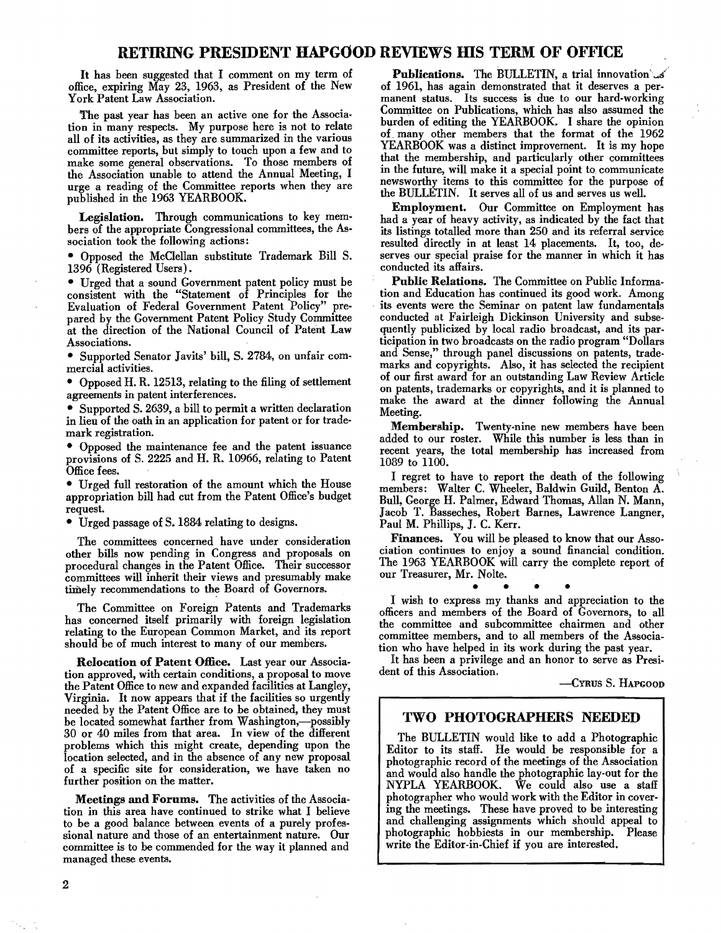### RETIRING PRESIDENT HAPGOOD REVIEWS HIS TERM OF OFFICE

It has been suggested that I comment on my term of office, expiring May 23, 1963, as President of the New York Patent Law Association.

'The past year has been an active one for the Associa· tion in many respects. My purpose here is not to relate all of its activities, as they are summarized in the various committee reports, but simply to touch upon a few and to make some general observations. To those members of the Association unable to attend the Annual Meeting, I urge a reading of the Committee reports when they are published in the 1963 YEARBOOK.

Legislation. Through communications to key members of the appropriate Congressional committees, the Association took the following actions:

• Opposed the McClellan substitute Trademark Bill S. 1396 (Registered Users).

• Urged that a sound Government patent policy must be consistent with the "Statement of Principles for the Evaluation of Federal Government Patent Policy" prepared by the Government Patent Policy Study Committee at the direction of the National Council of Patent Law Associations.

• Supported Senator Javits' bill, S. 2784, on unfair commercial activities.

• Opposed H. R. 12513, relating to the filing of settlement agreements in patent interferences.

• Supported S. 2639, a bill to permit a written declaration in lieu of the oath in an application for patent or for trademark registration.

• Opposed the maintenance fee and the patent issuance provisions of S. 2225 and H. R. 10966, relating to Patent Office fees.

• Urged full restoration of the amount which the Honse appropriation bill had cut from the Patent Office's budget request.

• Urged passage of S. 1884 relating to designs.

The committees concerned have under consideration other bills now pending in Congress and proposals on procedural changes in the Patent Office. Their successor committees will inherit their views and presumably make timely recommendations to the Board of Governors.

The Committee on Foreign Patents and Trademarks has concerned itself primarily with foreign legislation relating to the European Common Market, and its report should be of much interest to many of our members.

Relocation of Patent Office. Last year our Association approved, with certain conditions, a proposal to move the Patent Office to new and expanded facilities at Langley, Virginia. It now appears that if the facilities so urgently needed by the Patent Office are to be obtained, they must be located somewhat farther from Washington,-possibly 30 or 40 miles from that area. In view of the different problems which this might create, depending upon the location selected, and in the absence of any new proposal of a specific site for consideration, we have taken no further position on the matter.

Meetings and Forums. The activities of the Association in this area have continued to strike what I believe to be a good balance between events of a purely professional nature and those of an entertainment nature. Our committee is to be commended for the way it planned and managed these events.

Publications. The BULLETIN, a trial innovation  $\mathcal{S}$ of 1961, has again demonstrated that it deserves a permanent status. Its success is due to our hard-working Committee on Publications, which has also assumed the burden of editing the YEARBOOK. I share the opinion of. many other members that the format of the 1962 YEARBOOK was a distinct improvement. It is my hope that the membership, and particularly other committees in the future, will make it a special point to. communicate newsworthy items to this committee for the purpose of the BULLETIN. It serves all of us and serves us well.

Employment. Our Committee on Employment has had a year of heavy activity, as indicated by the fact that its listings totalled more than 250 and its referral service resulted directly in at least 14 placements. It, too, deserves our special praise for the manner in which it has conducted its affairs.

Public Relations. The Committee on Public Information and Education has continued its good work. Among its events were the Seminar on patent law fundamentals conducted at Fairleigh Dickinson University and subse· quently publicized by local radio broadcast, and its par· ticipation in two broadcasts on the radio program "Dollars and Sense," through panel discussions on patents, trade· marks and copyrights. Also, it has selected the recipient of our first award for an outstanding Law Review Article on patents, trademarks or copyrights, and it is planned to make the award at the dinner following the Annual Meeting.

Membership. Twenty-nine new members have been added to our roster. While this number is less than in recent years, the total membership has increased from 1089 to 1100.

I regret to have to report the death of the following members: Walter C. Wheeler, Baldwin Guild, Benton A. Bull, George H. Palmer, Edward Thomas, Allan N. Mann, Jacob T. Basseches, Robert Barnes, Lawrence Langner, Paul M. Phillips, J. C. Kerr.

Finances. You will be pleased to know that our Association continues to enjoy a sound financial condition. The 1963 YEARBOOK will carry the complete report of our Treasurer, Mr. Nolte.

 $\bullet$   $\bullet$   $\bullet$   $\bullet$ I wish to express my thanks and appreciation to the officers and members of the Board of Governors, to all the committee and subcommittee chairmen and other committee members, and to all members of the Association who have helped in its work during the past year.

It has been a privilege and an honor to serve as Presi· dent of this Association.

-CYRUS S. HAPGOOD

### TWO PHOTOGRAPHERS NEEDED

The BULLETIN would like to add a Photographic Editor to its staff. He would be responsible for a photographic record of the meetings of the Association and would also handle the photographic lay-out for the NYPLA YEARBOOK. We could also use a staff photographer who would work with the Editor in covering the meetings. These have proved to be interesting and challenging assignments which should appeal to photographic hobbiests in our membership. write the Editor-in-Chief if you are interested.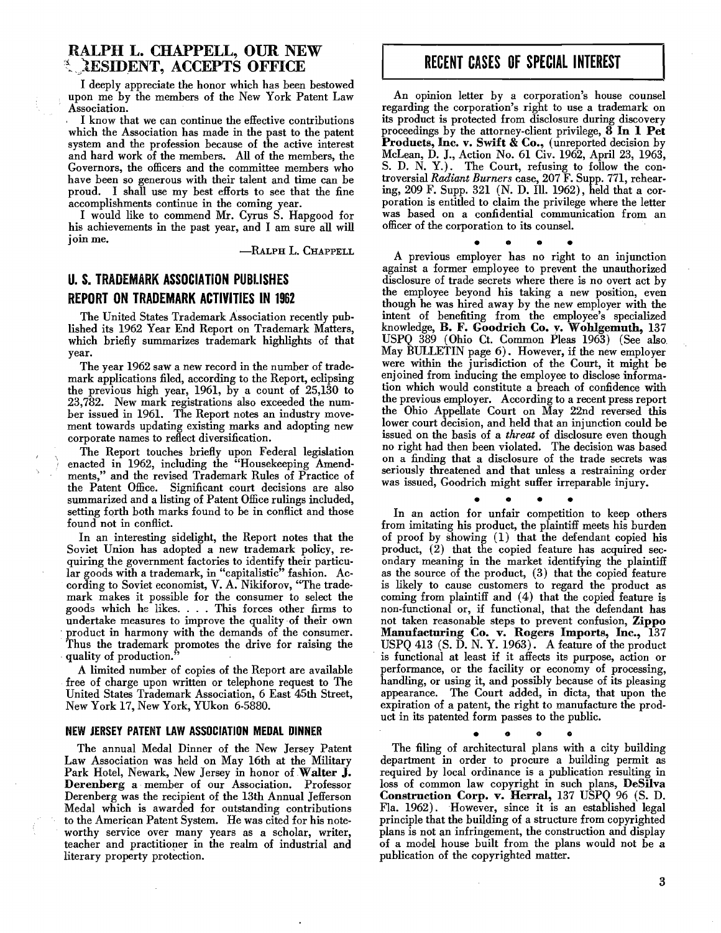### RALPH L. CHAPPELL, OUR NEW **Externt, ACCEPTS OFFICE**

I deeply appreciate the honor which has been bestowed upon me by the members of the New York Patent Law Association.

I know that we can continue the effective contributions which the Association has made in the past to the patent system and the profession because of the active interest and hard work of the members. All of the members, the Governors, the officers and the committee members who have been so generous with their talent and time can be proud. I shall use my best efforts to see that the fine accomplishments continue in the coming year.

I would like to commend Mr. Cyrus S. Hapgood for his achievements in the past year, and I am sure all will join me.

-RALPH L. CHAPPELL

## U. S. TRADEMARK ASSOCIATION PUBLISHES REPORT ON TRADEMARK ACTIVITIES IN 1962

The United States Trademark Association recently pub. lished its 1962 Year End Report on Trademark Matters, which briefly summarizes trademark highlights of that year.

The year 1962 saw a new record in the number of trademark applications filed, according to the Report, eclipsing the previous high year, 1961, by a count of 25,130 to 23,782. New mark registrations also exceeded the number issued in 1961. The Report notes an industry movement towards updating existing marks and adopting new corporate names to reflect diversification.

The Report touches briefly upon Federal legislation enacted in 1962, including the "Housekeeping Amendments," and the revised Trademark Rules of Practice of the Patent Office. Significant court decisions are also summarized and a listing of Patent Office rulings included, setting forth both marks found to be in conflict and those found not in conflict.

In an interesting sidelight, the Report notes that the Soviet Union has adopted a new trademark policy, requiring the government factories to identify their particular goods with a trademark, in "capitalistic" fashion. According to Soviet economist, V. A. Nikiforov, "The trademark makes it possible for the consumer to select the goods which he likes. . . . This forces other firms to undertake measures to improve the quality of their own . product in harmony with the demands of the consumer. Thus the trademark promotes the drive for raising the quality of production.

A limited number of copies of the Report are available free of charge upon written or telephone request to The United States Trademark Association, 6 East 45th Street, New York 17, New York, YUkon 6-5880.

#### NEW JERSEY PATENT LAW ASSOCIATION MEDAL DINNER

The annual Medal Dinner of the New Jersey Patent Law Association was held on May 16th at the Military Park Hotel, Newark, New Jersey in honor of Walter J. Derenherg a member of our Association. Professor Derenberg was the recipient of the 13th Annual Jefferson Medal which is awarded for outstanding contributions to the American Patent System. He was cited for his noteworthy service over many years as a scholar, writer, teacher and practitioner in the realm of industrial and literary property protection.

# RECENT CASES OF SPECIAL INTEREST

An opinion letter by a corporation's house counsel regarding the corporation's right to use a trademark on its product is protected from disclosure during discovery proceedings by the attorney-client privilege, 8 In 1 Pet Products, Inc. v. Swift & Co., (unreported decision by McLean, D. J., Action No. 61 Civ. 1962, April 23, 1963, S. D. N. Y.). The Court, refusing to follow the controversial *Radiant Burners* case, 207 F. Supp. 771, rehearing, 209 F. Supp. 321 (N. D. Ill. 1962), held that a corporation is entitled to claim the privilege where the letter was based on a confidential communication from an officer of the corporation to its counsel.

• • • • • • • • <br>A previous employer has no right to an injunction against a former employee to prevent the unauthorized disclosure of trade secrets where there is no overt act by the employee beyond his taking a new position, even though he was hired away by the new employer with the intent of benefiting from the employee's specialized knowledge, B. F. Goodrich Co. v. Wohlgemuth, 137 USPQ 389 (Ohio Ct. Common Pleas 1963) (See also. May BULLETIN page 6). However, if the new employer were within the jurisdiction of the Court, it might be enjoined from inducing the employee to disclose information which would constitute a breach of confidence with the previous employer. According to a recent press report the Ohio Appellate Court on May 22nd reversed this lower court decision, and held that an injunction could be issued on the basis of a *threat* of disclosure even though no right had then been violated. The decision was based on a finding that a disclosure of the trade secrets was seriously threatened and that unless a restraining order was issued, Goodrich might suffer irreparable injury.

• • • •

In an action for unfair competition to keep others from imitating his product, the plaintiff meets his burden of proof by showing (1) that the defendant copied his product, (2) that the copied feature has acquired secondary meaning in the market identifying the plaintiff as the source of the product, (3) that the copied feature is likely to cause customers to regard the product as coming from plaintiff and (4) that the copied feature is non-functional or, if functional, that the defendant has not taken reasonable steps to prevent confusion, Zippo Manufacturing Co. v. Rogers Imports, Inc., 137 USPQ 413 (S. D. N. Y. 1963). A feature of the product is functional at least if it affects its purpose, action or performance, or the facility or economy of processing, handling, or using it, and possibly because of its pleasing appearance. The Court added, in dicta, that upon the expiration of a patent, the right to manufacture the product in its patented form passes to the public.

o

• • The filing of architectural plans with a city building department in order to procure a building permit as required by local ordinance is a publication resulting in loss of common law copyright in such plans, DeSilva Construction Corp. v. Herral, 137 USPQ 96 (S. D. Fla. 1962). However, since it is an established legal principle that the building of a structure from copyrighted plans is not an infringement, the construction and display of a model house built from the plans would not be a publication of the copyrighted matter.

3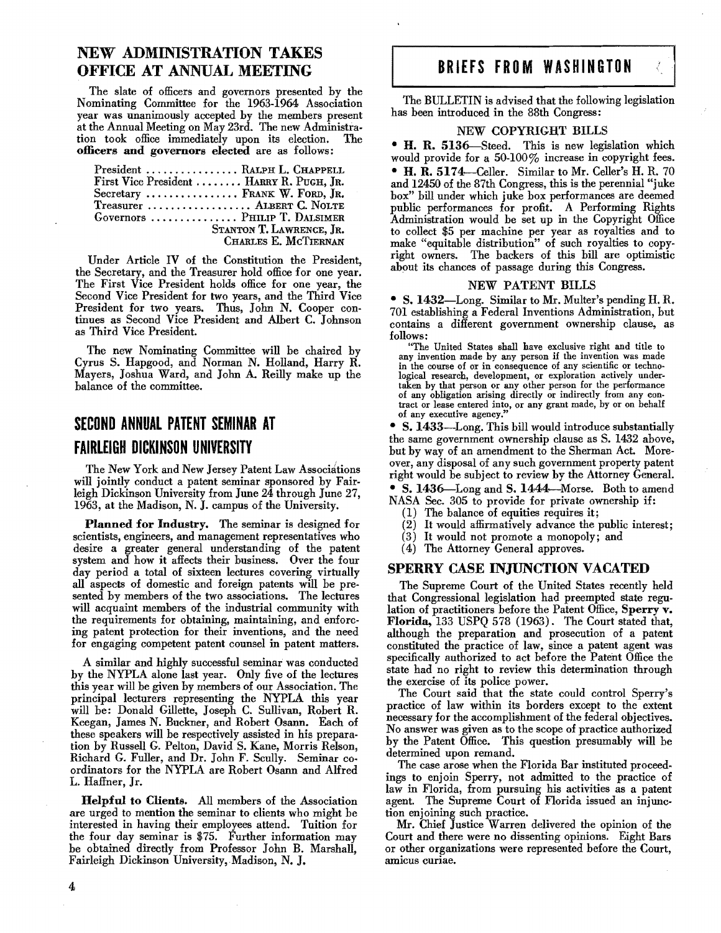## NEW ADMINISTRATION TAKES OFFICE AT ANNUAL MEETING

The slate of officers and governors presented hy the Nominating Committee for the 1963-1964 Association year was unanimously accepted hy the members present at the Annual Meeting on May 23rd. The new Administration took office immediately upon its election. The officers and governors elected are as follows:

| President  RALPH L. CHAPPELL             |
|------------------------------------------|
| First Vice President  HARRY R. PUGH, JR. |
| Secretary  FRANK W. FORD, JR.            |
| Treasurer  ALBERT C. NOLTE               |
| Governors  PHILIP T. DALSIMER            |
| STANTON T. LAWRENCE, JR.                 |
| CHARLES E. MCTIERNAN                     |

Under Article IV of the Constitution the President, the Secretary, and the Treasurer hold office for one year. The First Vice President holds office for one year, the Second Vice President for two years, and the Third Vice President for two years. Thus, John N. Cooper continues as Second Vice President and Alhert C. Johnson as Third Vice President.

The new Nominating Committee will he chaired hy Cyrus S. Hapgood, and Norman N. Holland, Harry R. Mayers, Joshua Ward, and John A. Reilly make up the halance of the committee.

# **SECOND ANNUAL PATENT SEMINAR AT FAIRLEIGH DICKINSON UNIVERSITY**

The New York and New Jersey Patent Law Associations will jointly conduct a patent seminar sponsored by Fairleigh Dickinson University from June 24 through June 27, 1963, at the Madison, N. J. campus of the University.

Planned for Industry. The seminar is designed for scientists, engineers, and management representatives who desire a greater general understanding of the patent system and how it affects their husiness. Over the four day period a total of sixteen lectures covering virtually all aspects of domestic and foreign patents will he pre· sented hy members of the two associations. The lectures will acquaint members of the industrial community with the requirements for ohtaining, maintaining, and enforcing patent protection for their inventions, and the need for engaging competent patent counsel in patent matters.

A similar and highly successful seminar was conducted hy the NYPLA alone last year. Only five of the lectures this year will he given hy memhers of our Association. The principal lecturers representing the NYPLA this year will he: Donald Gillette, Joseph C. Sullivan, Rohert R. Keegan, James N. Buckner, and Rohert Osann. Each of these speakers will he respectively assisted in his preparation hy Russell G. Pelton, David S. Kane, Morris Relson, Richard G. Fuller, and Dr. John F. Scully. Seminar coordinators for the NYPLA are Rohert Osann and Alfred L. Haffner, Jr.

HelpfnI to Clients. All members of the Association are urged to mention the seminar to clients who might be interested in having their employees attend. Tuition for the four day seminar is \$75. Further information may be obtained directly from Professor John B. Marshall, Fairleigh Dickinson University, Madison, N. J.

# BRIEFS FROM WASHINGTON

The BULLETIN is advised that the following legislation has been introduced in the 88th Congress:

#### NEW COPYRIGHT BILLS

• H. R. 5136-Steed. This is new legislation which would provide for a 50-100% increase in copyright fees.

• H. R. 5174—Celler. Similar to Mr. Celler's H. R. 70 and 12450 of the 87th Congress, this is the perennial "juke box" hill under which juke hox performances are deemed public performances for profit. A Performing Rights Administration would be set up in the Copyright Office to collect \$5 per machine per year as royalties and to make "equitable distribution" of such royalties to copyright owners. The hackers of this hill are optimistic about its chances of passage during this Congress.

#### NEW PATENT BILLS

• S.1432-Long. Similar to Mr. Multer's pending H. R. 701 establishing a Federal Inventions Administration, hut contains a different government ownership clause, as follows:

"The United States shall have exclusive right and title to any invention made by any person if the invention was made in the course of or in consequence of any scientific or technological research, development, or exploration actively undertaken by that person or any other person for the performance of any obligation arising directly or indirectly from any contract or lease entered into, or any grant made, by or on behalf of any executive agency."

• S. 1433-Long. This hill would introduce substantially the same government ownership clause as S. 1432 above, but by way of an amendment to the Sherman Act. Moreover, any disposal of any such government property patent right would be suhject to review by the Attorney General.

• S. 1436—Long and S. 1444—Morse. Both to amend NASA Sec. 305 to provide for private ownership if:

- (1) The balance of equities requires it;
- (2) It would affirmatively advance the public interest;
- (3) It would not promote a monopoly; and
- (4) The Attorney General approves.

#### SPERRY CASE INJUNCTION VACATED

The Supreme Court of the United States recently held that Congressional legislation had preempted state regulation of practitioners before the Patent Office, Sperry v. Florida, 133 USPQ 578 (1963). The Court stated that, although the preparation and prosecution of a patent constituted the practice of law, since a patent agent was specifically authorized to act before the Patent Office the state had no right to review this determination through the exercise of its police power.

The Court said that the state could control Sperry's practice of law within its horders except to the extent necessary for the accomplishment of the federal objectives. No answer was given as to the scope of practice anthorized by the Patent Office. This question presumably will he determined upon remand.

The case arose when the Florida Bar instituted proceed. ings to enjoin Sperry, not admitted to the practice of law in Florida, from pursuing his activities as a patent agent. The Supreme Court of Florida issued an injunction enjoining such practice.

Mr. Chief Justice Warren delivered the opinion of the Court and there were no dissenting opinions. Eight Bars or other organizations were represented before the Court, amicus curiae.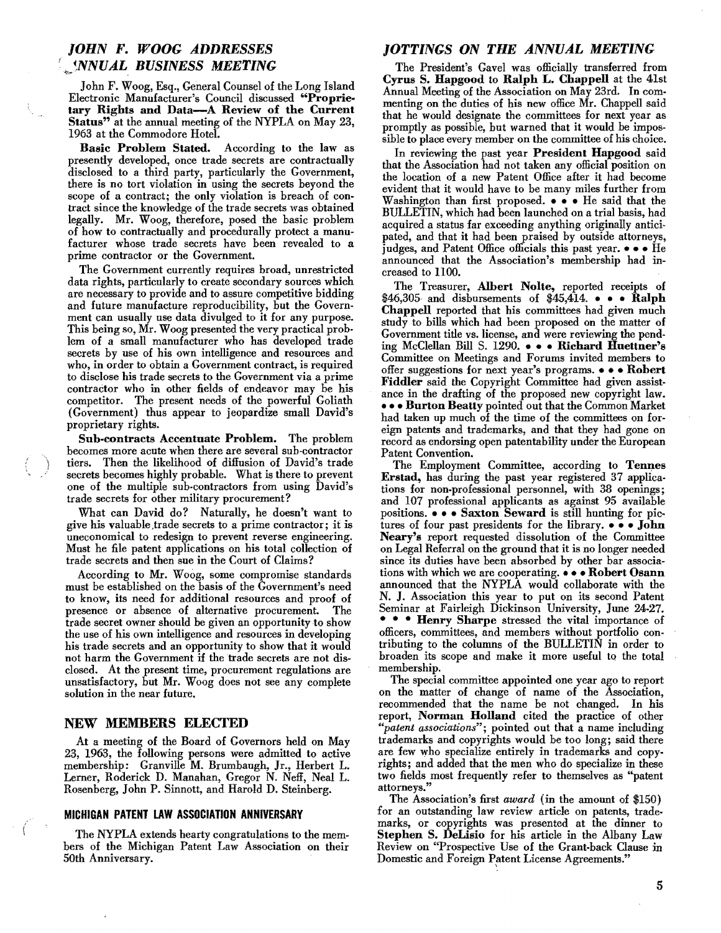## *JOHN* F. *WOOG ADDRESSES*  I , *NNUAL BUSINESS MEETING*

John F. Woog, Esq., General Counsel of the Long Island Electronic Manufacturer's Council discussed "Proprietary Rights and Data-A Review of the Current Status" at the annual meeting of the NYPLA on May 23, 1963 at the Commodore Hotel.

Basic Problem Stated. According to the law as presently developed, once trade secrets are contractually disclosed to a third party, particularly the Government, there is no tort violation in using the secrets beyond the scope of a contract; the only violation is breach of contract since the knowledge of the trade secrets was obtained legally. Mr. Woog, therefore, posed the basic problem of how to contractually and procedurally protect a manufacturer whose trade secrets have been revealed to a prime contractor or the Government.

The Government currently requires broad, unrestricted data rights, particularly to create secondary sources which are necessary to provide and to assure competitive bidding and future manufacture reproducibility, but the Government can usually use data divulged to it for any purpose. This being so, Mr. Woog presented the very practical prob. lem of a small manufacturer who has developed trade secrets by use of his own intelligence and resources and who, in order to obtain a Government contract, is required to disclose his trade secrets to the Government via a prime contractor who in other fields of endeavor may be his competitor. The present needs of the powerful Goliath (Government) thus appear to jeopardize small David's proprietary rights.

Sub-contracts Accentuate Problem. The problem becomes more acute when there are several sub·contractor tiers. Then the likelihood of diffusion of David's trade secrets becomes highly probable. What is there to prevent one of the multiple sub-contractors from using David's trade secrets for other military procurement?

What can David do? Naturally, he doesn't want to give his valuable ,trade secrets to a prime contractor; it is uneconomical to redesign to prevent reverse engineering. Must he file patent applications on his total collection of trade secrets and then sue in the Court of Claims?

According to Mr. Woog, some compromise standards must be established on the basis of the Government's need to know, its need for additional resources and proof of presence or absence of alternative procurement. The trade secret owner should be given an opportunity to show the use of his own intelligence and resources in developing his trade secrets and an opportunity to show that it would not harm the Government if the trade secrets are not disclosed. At the present time, procurement regulations are unsatisfactory, but Mr. Woog does not see any complete solution in the near future.

### NEW MEMBERS ELECTED

At a meeting of the Board of Governors held on May 23, 1963, the following persons were admitted to active membership: Granville M. Brumbaugh, Jr., Herbert L. Lerner, Roderick D. Manahan, Gregor N. Neff, Neal L. Rosenberg, John P. Sinnott, and Harold D. Steinberg.

### MICHIGAN PATENT LAW ASSOCIATION ANNIVERSARY

The NYPLA extends hearty congratulations to the members of the Michigan Patent Law Association on their 50th Anniversary.

### *JOTTINGS ON THE ANNUAL MEETING*

The President's Gavel was officially transferred from Cyrus S. Hapgood to Ralph L. Chappell at the 41st Annual Meeting of the Association on May 23rd. In com· menting on the duties of his new office Mr. Chappell said that he would designate the committees for next year as promptly as possible, but warned that it would be impos. sible to place every member on the committee of his choice.

In reviewing the past year President Hapgood said that the Association had not taken any official position on the location of a new Patent Office after it had become evident that it would have to be many miles further from Washington than first proposed.  $\bullet \bullet \bullet$  He said that the BULLETIN, which had been launched on a trial basis, had acquired a status far exceeding anything originally anticipated, and that it had been praised by outside attorneys, judges, and Patent Office officials this past year.  $\bullet \bullet \bullet$  He announced that the Association's membership had increased to 1l00.

The Treasurer, Albert Nolte, reported receipts of  $$46,305$  and disbursements of  $$45,414$ .  $\bullet$   $\bullet$  Ralph Chappell reported that his committees had given much study to bills which had been proposed on the matter of Government title vs. license, and were reviewing the pend. ing McClellan Bill S. 1290. . . Richard Huettner's Committee on Meetings and Forums invited members to offer suggestions for next year's programs.  $\bullet \bullet \bullet \textbf{Robert}$ Fiddler said the Copyright Committee had given assistance in the drafting of the proposed new copyright law. - - - Burton Beatty pointed out that the Common Market had taken up much of the time of the committees on foreign patents and trademarks, and that they had gone on record as endorsing open patentability under the European Patent Convention.

The Employment Committee, according to Tennes Erstad, has during the past year registered 37 applications for non-professional personnel, with 38 openings; and 107 professional applicants as against 95 available positions.  $\bullet \bullet \bullet$  Saxton Seward is still hunting for pictures of four past presidents for the library.  $\bullet \bullet \bullet$  John Neary's report requested dissolution of the Committee on Legal Referral on the ground that it is no longer needed since its duties have been absorbed by other bar associations with which we are cooperating.  $\bullet \bullet \bullet$  Robert Osann announced that the NYPLA would collaborate with the N. J. Association this year to put on its second Patent Seminar at Fairleigh Dickinson University, June 24-27. • • Henry Sharpe stressed the vital importance of officers, committees, and members without portfolio con· tributing to the columns of the BULLETIN in order to broaden its scope and make it more useful to the total membership.

The special committee appointed one year ago to report on the matter of change of name of the Association, recommended that the name be not changed. In his report, Norman Holland cited the practice of other *"patent associations";* pointed out that a name including trademarks and copyrights would be too long; said there are few who specialize entirely in trademarks and copyrights; and added that the men who do specialize in these two fields most frequently refer to themselves as "patent attorneys."

The Association's first *award* (in the amount of \$150) for an outstanding law review article on patents, trademarks, or copyrights was presented at the dinner to Stephen S. Delisio for his article in the Albany Law Review on "Prospective Use of the Grant-back Clause in Domestic and Foreign Patent License Agreements."